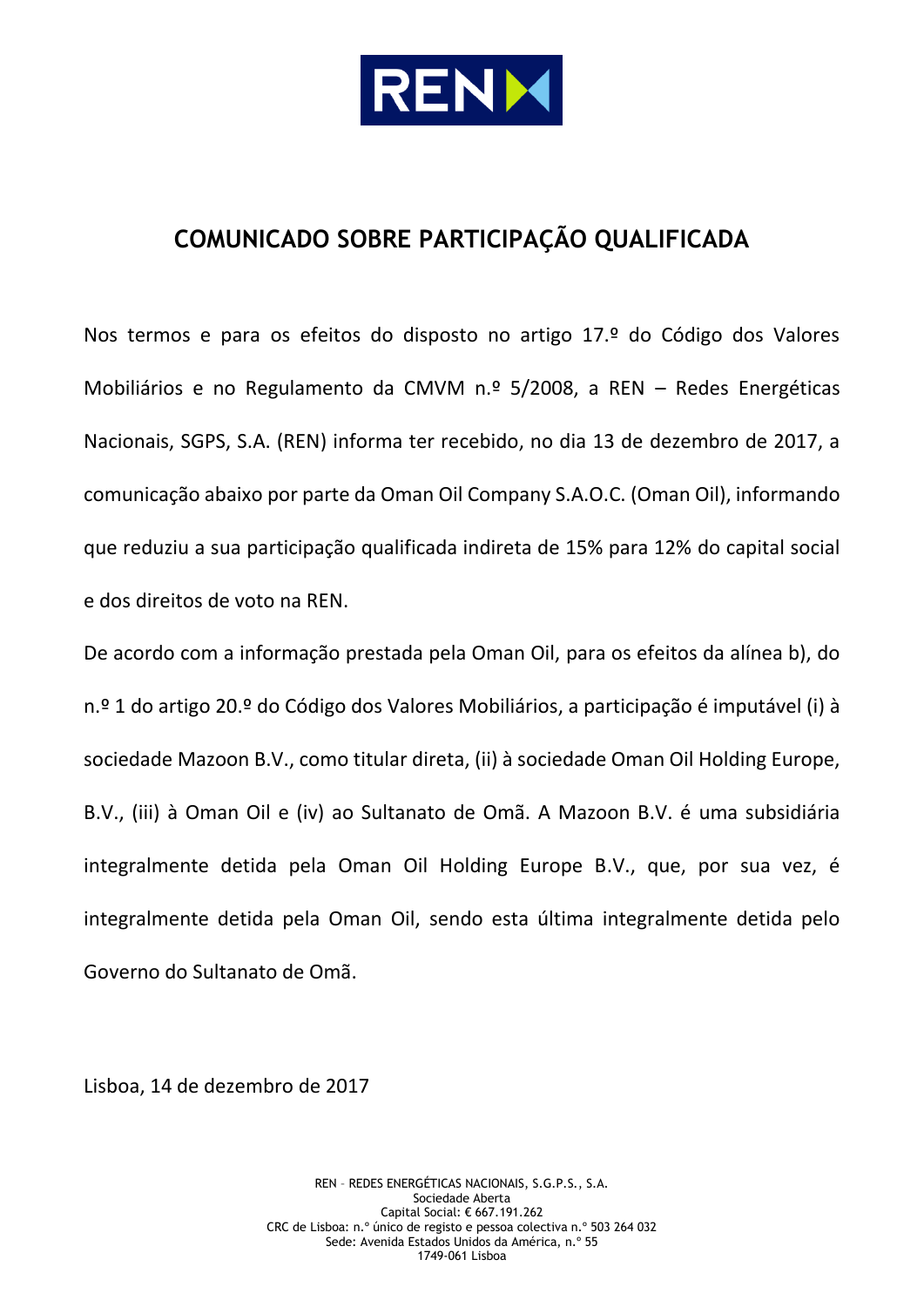

# **COMUNICADO SOBRE PARTICIPAÇÃO QUALIFICADA**

Nos termos e para os efeitos do disposto no artigo 17.º do Código dos Valores Mobiliários e no Regulamento da CMVM n.º 5/2008, a REN – Redes Energéticas Nacionais, SGPS, S.A. (REN) informa ter recebido, no dia 13 de dezembro de 2017, a comunicação abaixo por parte da Oman Oil Company S.A.O.C. (Oman Oil), informando que reduziu a sua participação qualificada indireta de 15% para 12% do capital social e dos direitos de voto na REN.

De acordo com a informação prestada pela Oman Oil, para os efeitos da alínea b), do n.º 1 do artigo 20.º do Código dos Valores Mobiliários, a participação é imputável (i) à sociedade Mazoon B.V., como titular direta, (ii) à sociedade Oman Oil Holding Europe, B.V., (iii) à Oman Oil e (iv) ao Sultanato de Omã. A Mazoon B.V. é uma subsidiária integralmente detida pela Oman Oil Holding Europe B.V., que, por sua vez, é integralmente detida pela Oman Oil, sendo esta última integralmente detida pelo Governo do Sultanato de Omã.

Lisboa, 14 de dezembro de 2017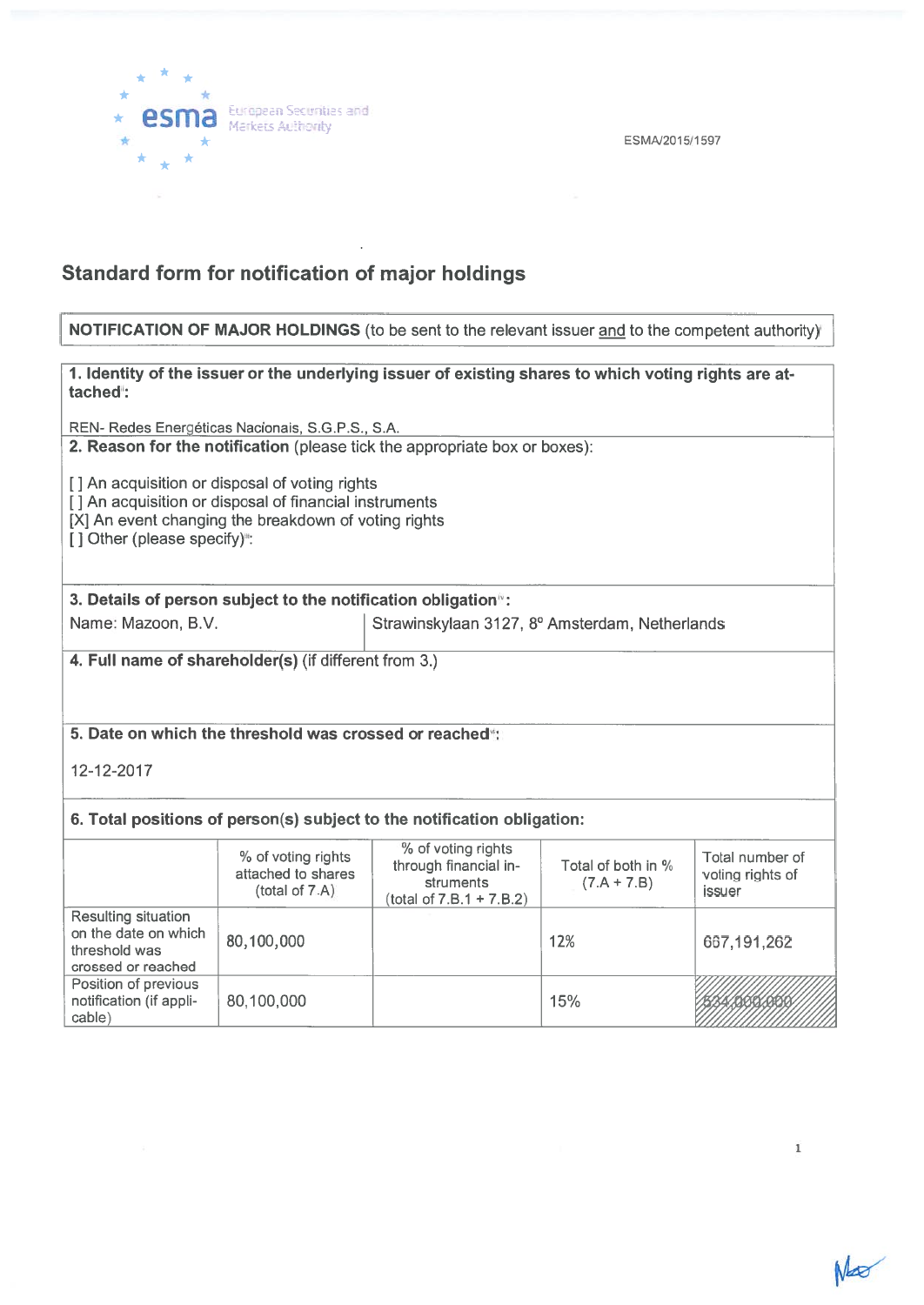

ESMA/2015/1597

## Standard form for notification of major holdings

#### NOTIFICATION OF MAJOR HOLDINGS (to be sent to the relevant issuer and to the competent authority)

# 1. Identity of the issuer or the underlying issuer of existing shares to which voting rights are at tached: REN- Redes Energeticas Nacionais, S.G.P.S., S.A.

2. Reason for the notification (please tick the appropriate box or boxes):

[] An acquisition or disposal of voting rights

[1] An acquisition or disposal of financial instruments

[X] An event changing the breakdown of voting rights

[] Other (please specify)":

3. Details of person subject to the notification obligation<sup>®</sup>:

Name: Mazoon, B.V. Strawinskylaan 3127, 8° Amsterdam, Netherlands

4. Full name of shareholder(s) (if different from 3.)

## 5. Date on which the threshold was crossed or reached<sup>\*</sup>:

12-12-20 17

### 6. Total positions of person(s) subject to the notification obligation:

|                                                                                    | % of voting rights<br>attached to shares<br>(total of 7.A) | % of voting rights<br>through financial in-<br>struments<br>$(total of 7.B.1 + 7.B.2)$ | Total of both in %<br>$(7.A + 7.B)$ | Total number of<br>voting rights of<br>issuer |
|------------------------------------------------------------------------------------|------------------------------------------------------------|----------------------------------------------------------------------------------------|-------------------------------------|-----------------------------------------------|
| Resulting situation<br>on the date on which<br>threshold was<br>crossed or reached | 80,100,000                                                 |                                                                                        | 12%                                 | 667,191,262                                   |
| Position of previous<br>notification (if appli-<br>cable)                          | 80,100,000                                                 |                                                                                        | 15%                                 |                                               |

1

No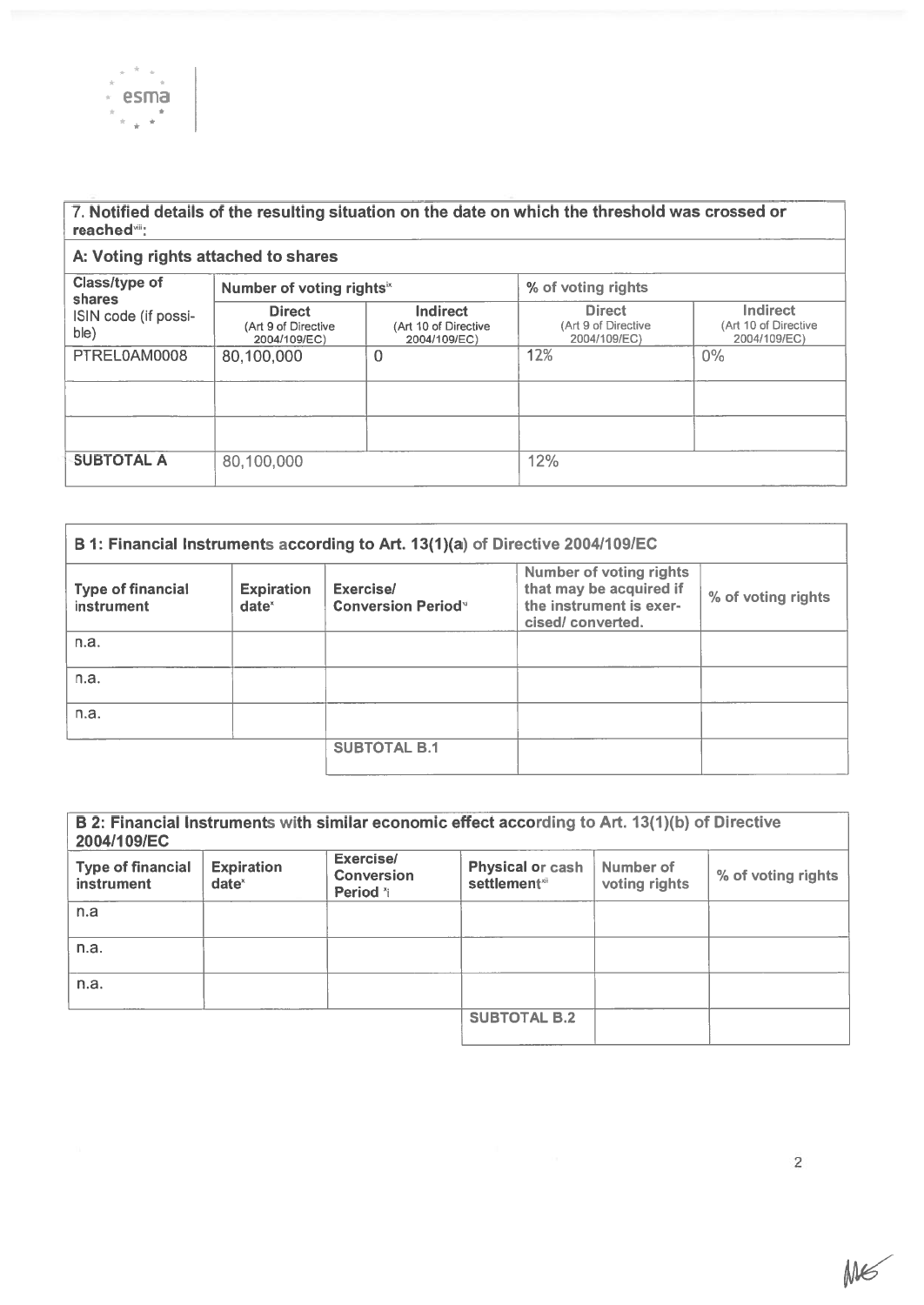

#### 7. Notified details of the resulting situation on the date on which the threshold was crossed or reached<sup>.</sup>'''

| A: Voting rights attached to shares                     |                                                       |                                                         |                                                      |                                                  |  |
|---------------------------------------------------------|-------------------------------------------------------|---------------------------------------------------------|------------------------------------------------------|--------------------------------------------------|--|
| Class/type of<br>shares<br>ISIN code (if possi-<br>ble) | Number of voting rights <sup>ix</sup>                 |                                                         | % of voting rights                                   |                                                  |  |
|                                                         | <b>Direct</b><br>(Art 9 of Directive)<br>2004/109/EC) | <b>Indirect</b><br>(Art 10 of Directive<br>2004/109/EC) | <b>Direct</b><br>(Art 9 of Directive<br>2004/109/EC) | Indirect<br>(Art 10 of Directive<br>2004/109/EC) |  |
| PTREL0AM0008                                            | 80,100,000                                            | 0                                                       | 12%                                                  | $0\%$                                            |  |
|                                                         |                                                       |                                                         |                                                      |                                                  |  |
|                                                         |                                                       |                                                         |                                                      |                                                  |  |
| <b>SUBTOTAL A</b>                                       | 80,100,000                                            |                                                         | 12%                                                  |                                                  |  |

| B 1: Financial Instruments according to Art. 13(1)(a) of Directive 2004/109/EC |                               |                                                    |                                                                                                          |                    |
|--------------------------------------------------------------------------------|-------------------------------|----------------------------------------------------|----------------------------------------------------------------------------------------------------------|--------------------|
| <b>Type of financial</b><br><b>instrument</b>                                  | <b>Expiration</b><br>$date^x$ | Exercise/<br><b>Conversion Period</b> <sup>v</sup> | <b>Number of voting rights</b><br>that may be acquired if<br>the instrument is exer-<br>cised/converted. | % of voting rights |
| n.a.                                                                           |                               |                                                    |                                                                                                          |                    |
| n.a.                                                                           |                               |                                                    |                                                                                                          |                    |
| n.a.                                                                           |                               |                                                    |                                                                                                          |                    |
|                                                                                |                               | <b>SUBTOTAL B.1</b>                                |                                                                                                          |                    |

| B 2: Financial Instruments with similar economic effect according to Art. 13(1)(b) of Directive<br>2004/109/EC |                               |                                            |                                                     |                            |                    |
|----------------------------------------------------------------------------------------------------------------|-------------------------------|--------------------------------------------|-----------------------------------------------------|----------------------------|--------------------|
| <b>Type of financial</b><br><b>instrument</b>                                                                  | <b>Expiration</b><br>$date^x$ | Exercise/<br><b>Conversion</b><br>Period * | <b>Physical or cash</b><br>settlement <sup>xi</sup> | Number of<br>voting rights | % of voting rights |
| n.a                                                                                                            |                               |                                            |                                                     |                            |                    |
| n.a.                                                                                                           |                               |                                            |                                                     |                            |                    |
| n.a.                                                                                                           |                               |                                            |                                                     |                            |                    |
|                                                                                                                |                               |                                            | <b>SUBTOTAL B.2</b>                                 |                            |                    |

ME